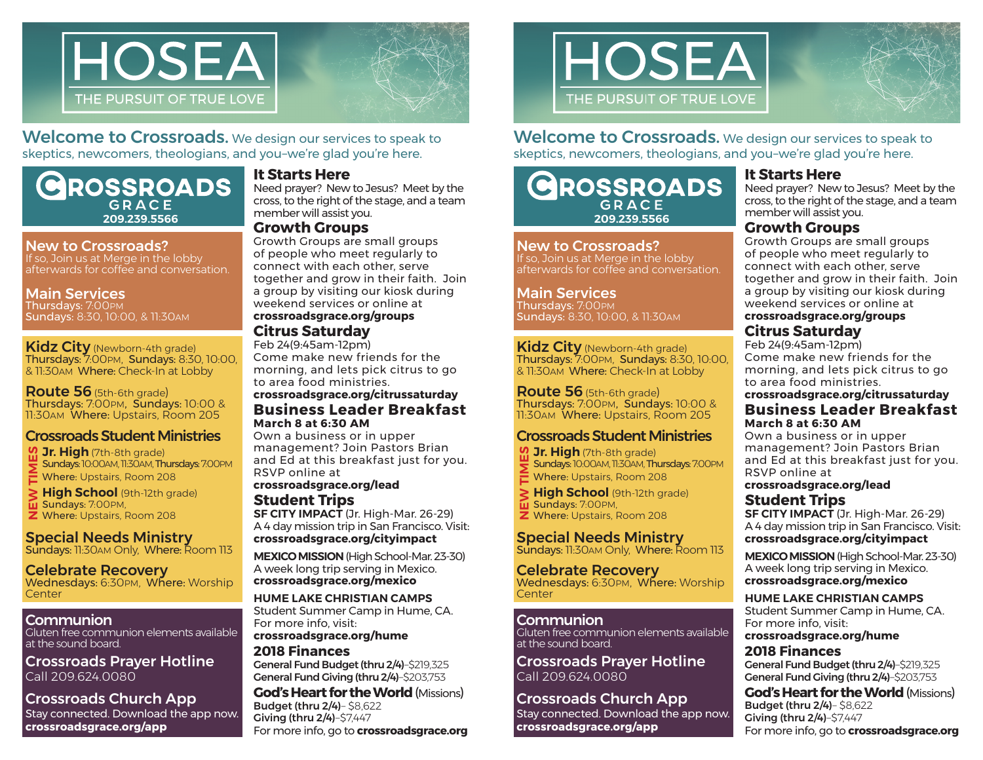

Welcome to Crossroads. We design our services to speak to skeptics, newcomers, theologians, and you–we're glad you're here.

# **ROSSROADS**  $GDACE$ member will assist you. **209.239.5566**

#### New to Crossroads?

If so, Join us at Merge in the lobby afterwards for coffee and conversation.

#### Main Services

Thursdays: 7:00PM Sundays: 8:30, 10:00, & 11:30AM

Kidz City (Newborn-4th grade) Thursdays: 7:00PM, Sundays: 8:30, 10:00, & 11:30AM Where: Check-In at Lobby

Route 56 (5th-6th grade) Thursdays: 7:00PM, Sundays: 10:00 & 11:30AM Where: Upstairs, Room 205

## Crossroads Student Ministries

*V***. Jr. High** (7th-8th grade) Sundays: 10:00AM, 11:30AM, Thursdays: 7:00PM Where: Upstairs, Room 208

**High School** (9th-12th grade) Sundays: 7:00PM, **Z** Where: Upstairs, Room 208

Special Needs Ministry Sundays: 11:30AM Only, Where: Room 113

Celebrate Recovery Wednesdays: 6:30PM, Where: Worship<br>Center **CHANGE SURFALLS SURFALLS IN HIGHTS**<br> **NEW HIGHTS SURFALLS SPECE**<br>
SPECE Sunday<br>
Celek<br>
Wedne

## Communion

Gluten free communion elements available at the sound board.

Crossroads Prayer Hotline Call 209.624.0080

Crossroads Church App Stay connected. Download the app now. **crossroadsgrace.org/app**

#### **It Starts Here**

Need prayer? New to Jesus? Meet by the cross, to the right of the stage, and a team

#### **Growth Groups**

Growth Groups are small groups of people who meet regularly to connect with each other, serve together and grow in their faith. Join a group by visiting our kiosk during weekend services or online at **crossroadsgrace.org/groups**

#### **Citrus Saturday**

Feb 24(9:45am-12pm) Come make new friends for the morning, and lets pick citrus to go to area food ministries.

#### **Business Leader Breakfast March 8 at 6:30 AM crossroadsgrace.org/citrussaturday**

Own a business or in upper management? Join Pastors Brian and Ed at this breakfast just for you. RSVP online at

#### **crossroadsgrace.org/lead Student Trips**

**SF CITY IMPACT** (Jr. High-Mar. 26-29) A 4 day mission trip in San Francisco. Visit: **crossroadsgrace.org/cityimpact**

**MEXICO MISSION** (High School-Mar. 23-30) A week long trip serving in Mexico. **crossroadsgrace.org/mexico**

**HUME LAKE CHRISTIAN CAMPS** Student Summer Camp in Hume, CA. For more info, visit: **crossroadsgrace.org/hume**

#### **2018 Finances**

General Fund Budget (thru 2/4)–\$219,325 General Fund Giving (thru 2/4)–\$203,753 **God's Heart for the World** (Missions)

For more info, go to **crossroadsgrace.org** Budget (thru 2/4)– \$8,622 Giving (thru 2/4)–\$7,447



## Welcome to Crossroads. We design our services to speak to skeptics, newcomers, theologians, and you–we're glad you're here.

# **ROSSROADS**  $G$   $R$   $\Delta$   $C$   $F$ member will assist you. **209.239.5566**

New to Crossroads? If so, Join us at Merge in the lobby afterwards for coffee and conversation.

#### Main Services

Thursdays: 7:00PM Sundays: 8:30, 10:00, & 11:30AM

#### Kidz City (Newborn-4th grade) Thursdays: 7:00PM, Sundays: 8:30, 10:00, & 11:30AM Where: Check-In at Lobby

Route 56 (5th-6th grade) Thursdays: 7:00PM, Sundays: 10:00 & 11:30AM Where: Upstairs, Room 205

## Crossroads Student Ministries

**M** Jr. High (7th-8th grade) Sundays: 10:00AM, 11:30AM, Thursdays: 7:00PM Where: Upstairs, Room 208

**High School** (9th-12th grade) Sundays: 7:00PM, **Z** Where: Upstairs, Room 208

# Special Needs Ministry

Sundays: 11:30AM Only, Where: Room 113

Celebrate Recovery Wednesdays: 6:30PM, Where: Worship<br>Center **CHANGE SURFALLS SURFALLS HIS SURFALLS SURFACE SURFACE CHANGE SURFACE SURFACE SURFACE SURFACE SURFACE SURFACE SURFACE SURFACE SURFACE SURFACE SURFACE SURFACE SURFACE SURFACE SURFACE SURFACE SURFACE SURFACE SURFACE SURFACE** 

#### **Communion**

Gluten free communion elements available at the sound board.

Crossroads Prayer Hotline Call 209.624.0080

# Crossroads Church App

Stay connected. Download the app now. **crossroadsgrace.org/app**

## **It Starts Here**

Need prayer? New to Jesus? Meet by the cross, to the right of the stage, and a team

## **Growth Groups**

Growth Groups are small groups of people who meet regularly to connect with each other, serve together and grow in their faith. Join a group by visiting our kiosk during weekend services or online at

## **crossroadsgrace.org/groups**

# **Citrus Saturday**

Feb 24(9:45am-12pm) Come make new friends for the morning, and lets pick citrus to go to area food ministries.

## **crossroadsgrace.org/citrussaturday**

#### **Business Leader Breakfast March 8 at 6:30 AM**

Own a business or in upper management? Join Pastors Brian and Ed at this breakfast just for you. RSVP online at

#### **crossroadsgrace.org/lead Student Trips**

**SF CITY IMPACT** (Jr. High-Mar. 26-29) A 4 day mission trip in San Francisco. Visit: **crossroadsgrace.org/cityimpact**

**MEXICO MISSION** (High School-Mar. 23-30) A week long trip serving in Mexico. **crossroadsgrace.org/mexico**

## **HUME LAKE CHRISTIAN CAMPS**

Student Summer Camp in Hume, CA. For more info, visit:

**crossroadsgrace.org/hume**

#### **2018 Finances** General Fund Budget (thru 2/4)–\$219,325 General Fund Giving (thru 2/4)–\$203,753

For more info, go to **crossroadsgrace.org God's Heart for the World** (Missions) Budget (thru 2/4)– \$8,622 Giving (thru 2/4)–\$7,447